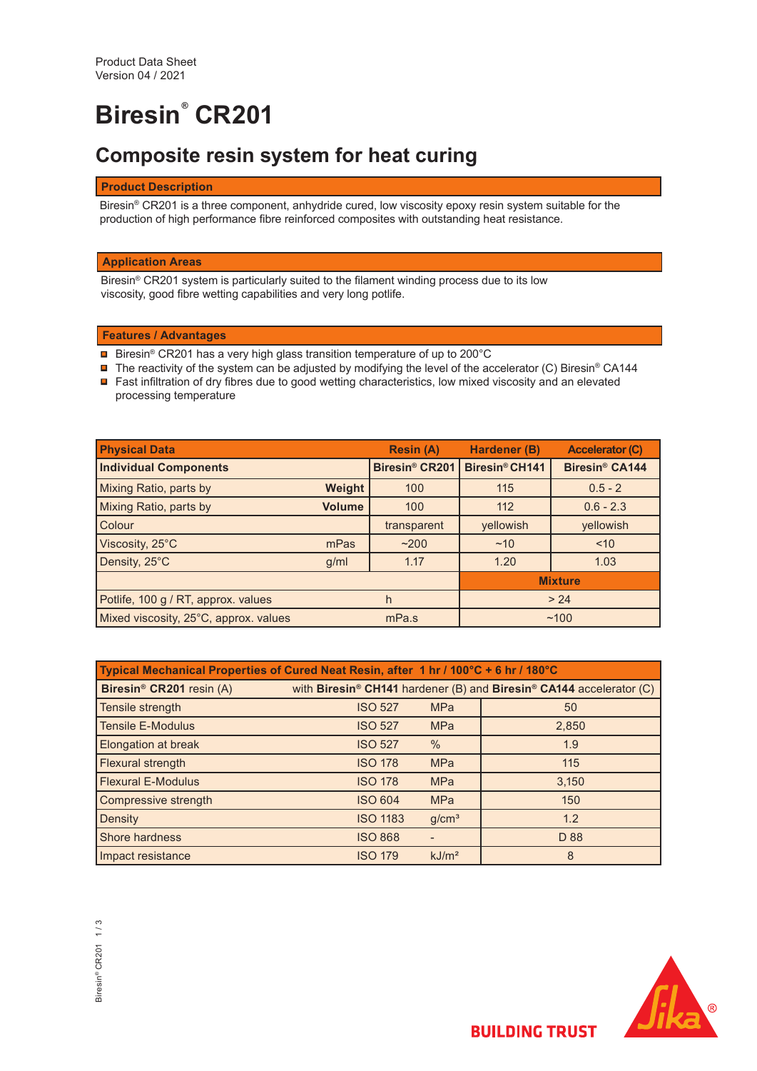# **Biresin® CR201**

# **Composite resin system for heat curing**

# **Product Description**

Biresin® CR201 is a three component, anhydride cured, low viscosity epoxy resin system suitable for the production of high performance fibre reinforced composites with outstanding heat resistance.

# **Application Areas**

Biresin® CR201 system is particularly suited to the filament winding process due to its low viscosity, good fibre wetting capabilities and very long potlife.

# **Features / Advantages**

- Biresin® CR201 has a very high glass transition temperature of up to 200°C
- The reactivity of the system can be adjusted by modifying the level of the accelerator (C) Biresin® CA144 ■ Fast infiltration of dry fibres due to good wetting characteristics, low mixed viscosity and an elevated processing temperature

| <b>Physical Data</b>                  |               | <b>Resin (A)</b>           | Hardener (B)   | <b>Accelerator (C)</b>           |  |
|---------------------------------------|---------------|----------------------------|----------------|----------------------------------|--|
| <b>Individual Components</b>          |               | Biresin <sup>®</sup> CR201 | Biresin® CH141 | <b>Biresin<sup>®</sup> CA144</b> |  |
| Mixing Ratio, parts by                | Weight        | 100                        | 115            | $0.5 - 2$                        |  |
| Mixing Ratio, parts by                | <b>Volume</b> | 100                        | 112            | $0.6 - 2.3$                      |  |
| Colour                                |               | transparent                | yellowish      | yellowish                        |  |
| Viscosity, 25°C                       | mPas          | ~200                       | ~10            | ~10                              |  |
| Density, 25°C                         | g/ml          | 1.17                       | 1.20           | 1.03                             |  |
|                                       |               |                            | <b>Mixture</b> |                                  |  |
| Potlife, 100 g / RT, approx. values   | h             |                            | > 24           |                                  |  |
| Mixed viscosity, 25°C, approx. values |               | mPa.s                      | ~100           |                                  |  |

| Typical Mechanical Properties of Cured Neat Resin, after 1 hr / 100°C + 6 hr / 180°C |                 |                   |                                                                     |  |  |
|--------------------------------------------------------------------------------------|-----------------|-------------------|---------------------------------------------------------------------|--|--|
| Biresin <sup>®</sup> CR201 resin (A)                                                 |                 |                   | with Biresin® CH141 hardener (B) and Biresin® CA144 accelerator (C) |  |  |
| Tensile strength                                                                     | <b>ISO 527</b>  | <b>MPa</b>        | 50                                                                  |  |  |
| <b>Tensile E-Modulus</b>                                                             | <b>ISO 527</b>  | <b>MPa</b>        | 2,850                                                               |  |  |
| Elongation at break                                                                  | <b>ISO 527</b>  | $\%$              | 1.9                                                                 |  |  |
| Flexural strength                                                                    | <b>ISO 178</b>  | <b>MPa</b>        | 115                                                                 |  |  |
| <b>Flexural E-Modulus</b>                                                            | <b>ISO 178</b>  | <b>MPa</b>        | 3,150                                                               |  |  |
| Compressive strength                                                                 | <b>ISO 604</b>  | <b>MPa</b>        | 150                                                                 |  |  |
| Density                                                                              | <b>ISO 1183</b> | g/cm <sup>3</sup> | 1.2                                                                 |  |  |
| <b>Shore hardness</b>                                                                | <b>ISO 868</b>  |                   | D 88                                                                |  |  |
| Impact resistance                                                                    | <b>ISO 179</b>  | kJ/m <sup>2</sup> | 8                                                                   |  |  |

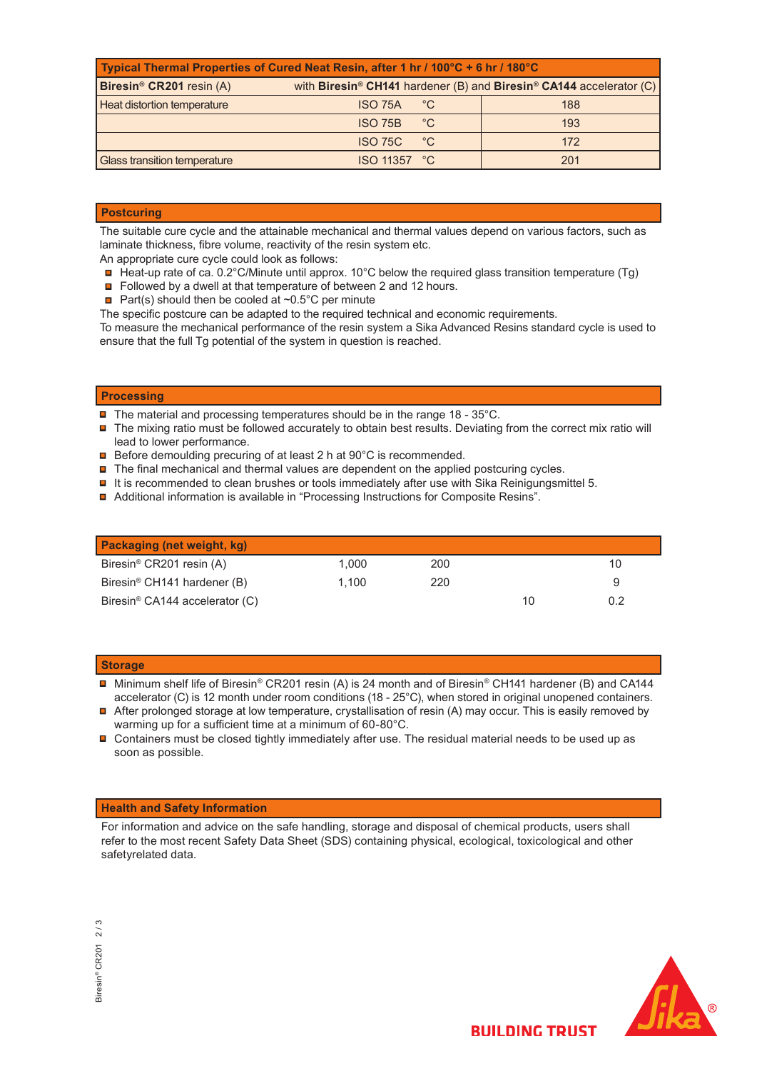| Typical Thermal Properties of Cured Neat Resin, after 1 hr / 100°C + 6 hr / 180°C |                                                                                             |     |  |  |  |  |
|-----------------------------------------------------------------------------------|---------------------------------------------------------------------------------------------|-----|--|--|--|--|
| Biresin <sup>®</sup> CR201 resin (A)                                              | with Biresin <sup>®</sup> CH141 hardener (B) and Biresin <sup>®</sup> CA144 accelerator (C) |     |  |  |  |  |
| Heat distortion temperature                                                       | $^{\circ}$ C<br><b>ISO 75A</b>                                                              | 188 |  |  |  |  |
|                                                                                   | °C<br><b>ISO 75B</b>                                                                        | 193 |  |  |  |  |
|                                                                                   | °€<br><b>ISO 75C</b>                                                                        | 172 |  |  |  |  |
| Glass transition temperature                                                      | <b>ISO 11357 °C</b>                                                                         | 201 |  |  |  |  |

# **Postcuring**

The suitable cure cycle and the attainable mechanical and thermal values depend on various factors, such as laminate thickness, fibre volume, reactivity of the resin system etc.

- An appropriate cure cycle could look as follows:
- Heat-up rate of ca. 0.2°C/Minute until approx. 10°C below the required glass transition temperature (Tg)
- Followed by a dwell at that temperature of between 2 and 12 hours.
- Part(s) should then be cooled at  $\sim 0.5^{\circ}$ C per minute

The specific postcure can be adapted to the required technical and economic requirements.

To measure the mechanical performance of the resin system a Sika Advanced Resins standard cycle is used to ensure that the full Tg potential of the system in question is reached.

# **Processing**

 $\blacksquare$  The material and processing temperatures should be in the range 18 - 35°C.

- $\blacksquare$  The mixing ratio must be followed accurately to obtain best results. Deviating from the correct mix ratio will lead to lower performance.
- **□** Before demoulding precuring of at least 2 h at 90°C is recommended.
- $\blacksquare$  The final mechanical and thermal values are dependent on the applied postcuring cycles.
- $\blacksquare$  It is recommended to clean brushes or tools immediately after use with Sika Reinigungsmittel 5.
- Additional information is available in "Processing Instructions for Composite Resins".

| Packaging (net weight, kg)                 |       |     |    |     |
|--------------------------------------------|-------|-----|----|-----|
| Biresin <sup>®</sup> CR201 resin (A)       | 1.000 | 200 |    | 10  |
| Biresin <sup>®</sup> CH141 hardener (B)    | 1.100 | 220 |    |     |
| Biresin <sup>®</sup> CA144 accelerator (C) |       |     | 10 | 0.2 |

#### **Storage**

 Minimum shelf life of Biresin® CR201 resin (A) is 24 month and of Biresin® CH141 hardener (B) and CA144 accelerator (C) is 12 month under room conditions (18 - 25°C), when stored in original unopened containers.

■ After prolonged storage at low temperature, crystallisation of resin (A) may occur. This is easily removed by warming up for a sufficient time at a minimum of 60-80°C.

 $\blacksquare$  Containers must be closed tightly immediately after use. The residual material needs to be used up as soon as possible.

#### **Health and Safety Information**

For information and advice on the safe handling, storage and disposal of chemical products, users shall refer to the most recent Safety Data Sheet (SDS) containing physical, ecological, toxicological and other safetyrelated data.